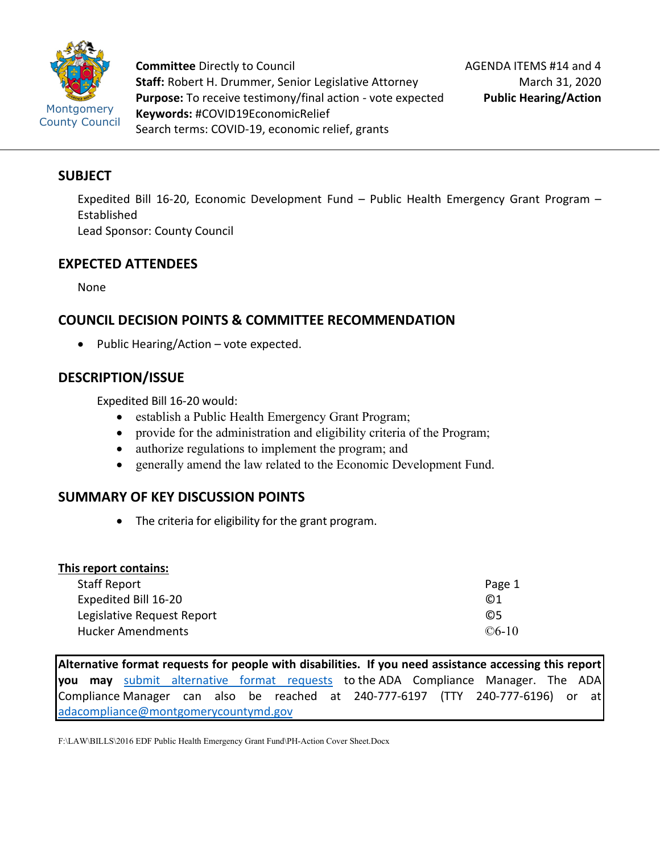

**Committee** Directly to Council **Staff:** Robert H. Drummer, Senior Legislative Attorney **Purpose:** To receive testimony/final action - vote expected **Keywords:** #COVID19EconomicRelief Search terms: COVID-19, economic relief, grants

# **SUBJECT**

Expedited Bill 16-20, Economic Development Fund – Public Health Emergency Grant Program – Established Lead Sponsor: County Council

# **EXPECTED ATTENDEES**

None

# **COUNCIL DECISION POINTS & COMMITTEE RECOMMENDATION**

• Public Hearing/Action – vote expected.

# **DESCRIPTION/ISSUE**

Expedited Bill 16-20 would:

- establish a Public Health Emergency Grant Program;
- provide for the administration and eligibility criteria of the Program;
- authorize regulations to implement the program; and
- generally amend the law related to the Economic Development Fund.

# **SUMMARY OF KEY DISCUSSION POINTS**

• The criteria for eligibility for the grant program.

## **This report contains:**

| Staff Report               | Page 1       |
|----------------------------|--------------|
| Expedited Bill 16-20       | $\odot$ 1    |
| Legislative Request Report | C.5          |
| <b>Hucker Amendments</b>   | $\odot$ 6-10 |

**Alternative format requests for people with disabilities. If you need assistance accessing this report you may** [submit alternative format requests](https://gcc01.safelinks.protection.outlook.com/?url=http%3A%2F%2Fwww2.montgomerycountymd.gov%2Fmcgportalapps%2FAccessibilityForm.aspx&data=02%7C01%7Csandra.marin%40montgomerycountymd.gov%7C79d44e803a8846df027008d6ad4e4d1b%7C6e01b1f9b1e54073ac97778069a0ad64%7C0%7C0%7C636886950086244453&sdata=AT2lwLz22SWBJ8c92gXfspY8lQVeGCrUbqSPzpYheB0%3D&reserved=0) to the ADA Compliance Manager. The ADA Compliance Manager can also be reached at 240-777-6197 (TTY 240-777-6196) or at [adacompliance@montgomerycountymd.gov](mailto:adacompliance@montgomerycountymd.gov)

F:\LAW\BILLS\2016 EDF Public Health Emergency Grant Fund\PH-Action Cover Sheet.Docx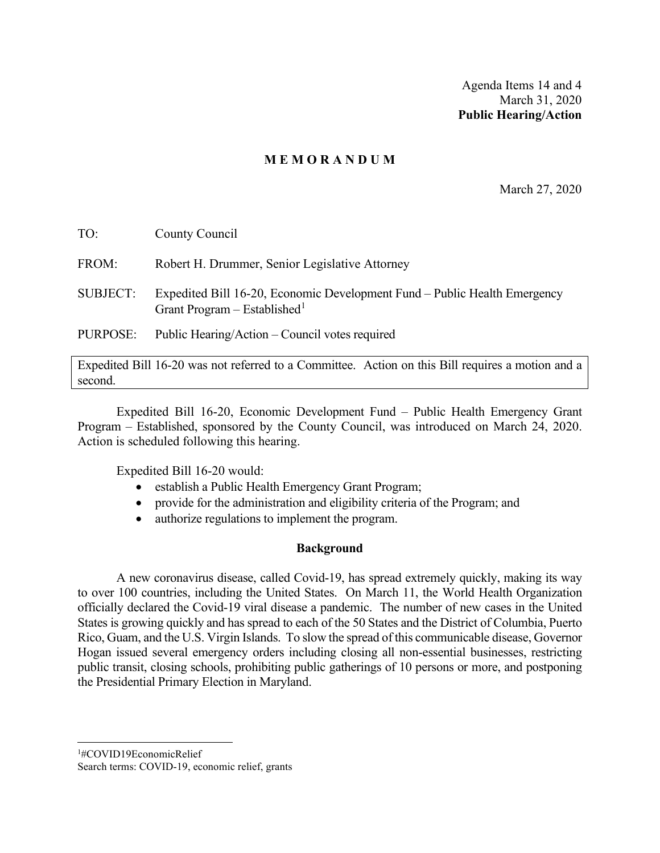Agenda Items 14 and 4 March 31, 2020 **Public Hearing/Action**

## **M E M O R A N D U M**

March 27, 2020

| FROM:<br>Robert H. Drummer, Senior Legislative Attorney                                                                                  |  |
|------------------------------------------------------------------------------------------------------------------------------------------|--|
|                                                                                                                                          |  |
| Expedited Bill 16-20, Economic Development Fund – Public Health Emergency<br><b>SUBJECT:</b><br>Grant Program – Established <sup>1</sup> |  |
| Public Hearing/Action – Council votes required<br>PURPOSE:                                                                               |  |

Expedited Bill 16-20 was not referred to a Committee. Action on this Bill requires a motion and a second.

Expedited Bill 16-20, Economic Development Fund – Public Health Emergency Grant Program – Established, sponsored by the County Council, was introduced on March 24, 2020. Action is scheduled following this hearing.

Expedited Bill 16-20 would:

- establish a Public Health Emergency Grant Program;
- provide for the administration and eligibility criteria of the Program; and
- authorize regulations to implement the program.

## **Background**

A new coronavirus disease, called Covid-19, has spread extremely quickly, making its way to over 100 countries, including the United States. On March 11, the World Health Organization officially declared the Covid-19 viral disease a pandemic. The number of new cases in the United States is growing quickly and has spread to each of the 50 States and the District of Columbia, Puerto Rico, Guam, and the U.S. Virgin Islands. To slow the spread of this communicable disease, Governor Hogan issued several emergency orders including closing all non-essential businesses, restricting public transit, closing schools, prohibiting public gatherings of 10 persons or more, and postponing the Presidential Primary Election in Maryland.

<span id="page-1-0"></span>1 #COVID19EconomicRelief

Search terms: COVID-19, economic relief, grants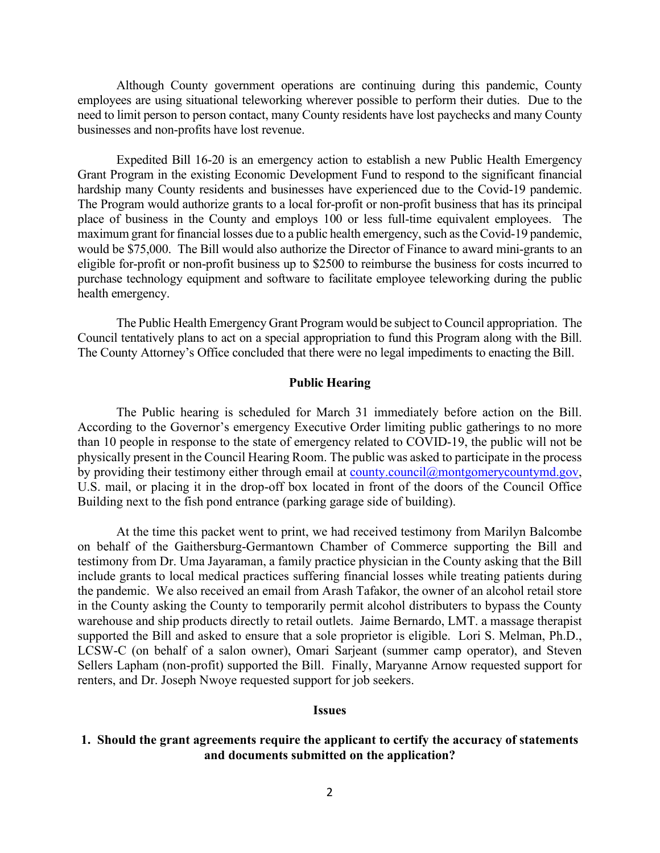Although County government operations are continuing during this pandemic, County employees are using situational teleworking wherever possible to perform their duties. Due to the need to limit person to person contact, many County residents have lost paychecks and many County businesses and non-profits have lost revenue.

Expedited Bill 16-20 is an emergency action to establish a new Public Health Emergency Grant Program in the existing Economic Development Fund to respond to the significant financial hardship many County residents and businesses have experienced due to the Covid-19 pandemic. The Program would authorize grants to a local for-profit or non-profit business that has its principal place of business in the County and employs 100 or less full-time equivalent employees. The maximum grant for financial losses due to a public health emergency, such as the Covid-19 pandemic, would be \$75,000. The Bill would also authorize the Director of Finance to award mini-grants to an eligible for-profit or non-profit business up to \$2500 to reimburse the business for costs incurred to purchase technology equipment and software to facilitate employee teleworking during the public health emergency.

The Public Health Emergency Grant Program would be subject to Council appropriation. The Council tentatively plans to act on a special appropriation to fund this Program along with the Bill. The County Attorney's Office concluded that there were no legal impediments to enacting the Bill.

#### **Public Hearing**

The Public hearing is scheduled for March 31 immediately before action on the Bill. According to the Governor's emergency Executive Order limiting public gatherings to no more than 10 people in response to the state of emergency related to COVID-19, the public will not be physically present in the Council Hearing Room. The public was asked to participate in the process by providing their testimony either through email at [county.council@montgomerycountymd.gov,](mailto:county.council@montgomerycountymd.gov) U.S. mail, or placing it in the drop-off box located in front of the doors of the Council Office Building next to the fish pond entrance (parking garage side of building).

At the time this packet went to print, we had received testimony from Marilyn Balcombe on behalf of the Gaithersburg-Germantown Chamber of Commerce supporting the Bill and testimony from Dr. Uma Jayaraman, a family practice physician in the County asking that the Bill include grants to local medical practices suffering financial losses while treating patients during the pandemic. We also received an email from Arash Tafakor, the owner of an alcohol retail store in the County asking the County to temporarily permit alcohol distributers to bypass the County warehouse and ship products directly to retail outlets. Jaime Bernardo, LMT. a massage therapist supported the Bill and asked to ensure that a sole proprietor is eligible. Lori S. Melman, Ph.D., LCSW-C (on behalf of a salon owner), Omari Sarjeant (summer camp operator), and Steven Sellers Lapham (non-profit) supported the Bill. Finally, Maryanne Arnow requested support for renters, and Dr. Joseph Nwoye requested support for job seekers.

#### **Issues**

#### **1. Should the grant agreements require the applicant to certify the accuracy of statements and documents submitted on the application?**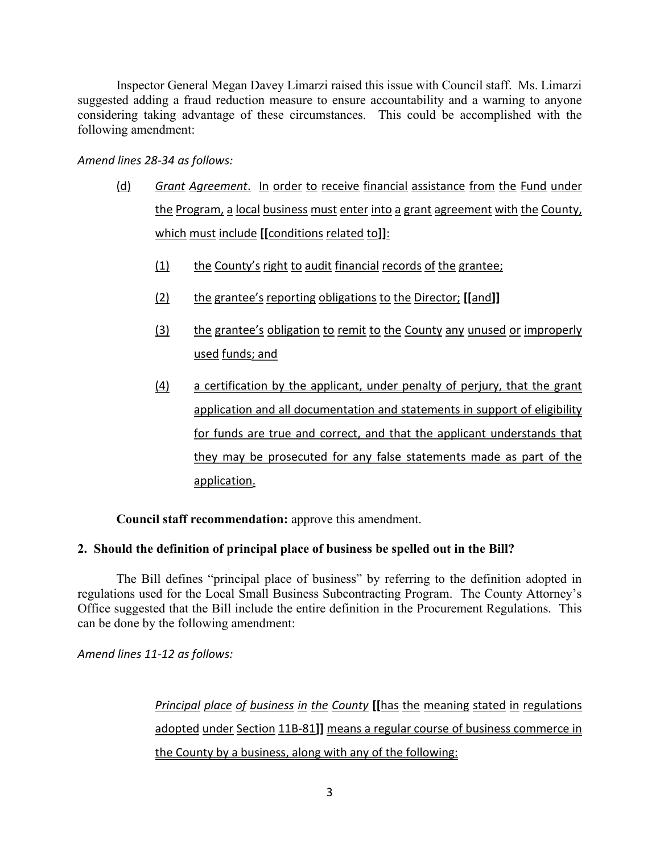Inspector General Megan Davey Limarzi raised this issue with Council staff. Ms. Limarzi suggested adding a fraud reduction measure to ensure accountability and a warning to anyone considering taking advantage of these circumstances. This could be accomplished with the following amendment:

*Amend lines 28-34 as follows:*

- (d) *Grant Agreement*. In order to receive financial assistance from the Fund under the Program, a local business must enter into a grant agreement with the County, which must include **[[**conditions related to**]]**:
	- (1) the County's right to audit financial records of the grantee;
	- (2) the grantee's reporting obligations to the Director; **[[**and**]]**
	- (3) the grantee's obligation to remit to the County any unused or improperly used funds; and
	- (4) a certification by the applicant, under penalty of perjury, that the grant application and all documentation and statements in support of eligibility for funds are true and correct, and that the applicant understands that they may be prosecuted for any false statements made as part of the application.

**Council staff recommendation:** approve this amendment.

# **2. Should the definition of principal place of business be spelled out in the Bill?**

The Bill defines "principal place of business" by referring to the definition adopted in regulations used for the Local Small Business Subcontracting Program. The County Attorney's Office suggested that the Bill include the entire definition in the Procurement Regulations. This can be done by the following amendment:

*Amend lines 11-12 as follows:*

*Principal place of business in the County* **[[**has the meaning stated in regulations adopted under Section 11B-81**]]** means a regular course of business commerce in the County by a business, along with any of the following: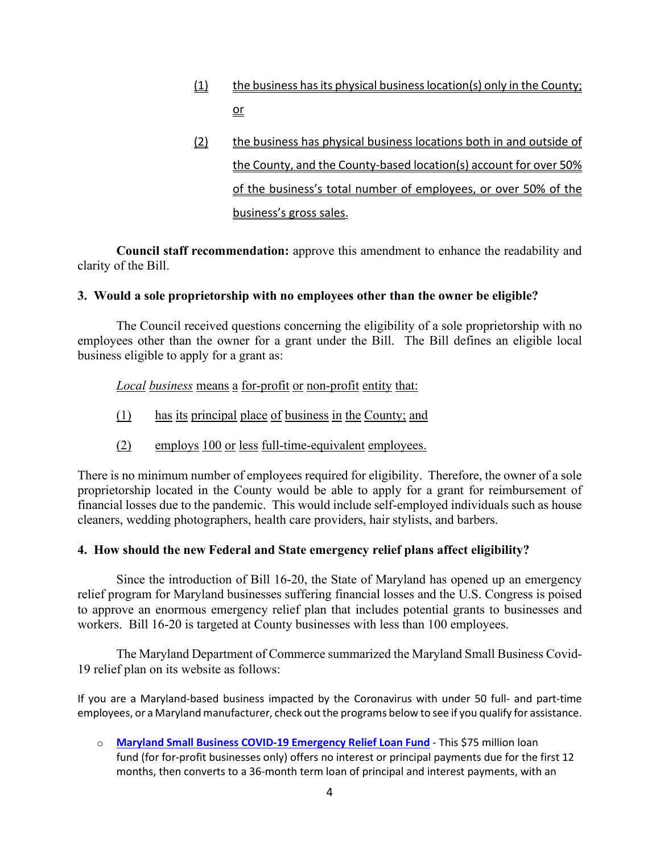- (1) the business has its physical business location(s) only in the County; or
- (2) the business has physical business locations both in and outside of the County, and the County-based location(s) account for over 50% of the business's total number of employees, or over 50% of the business's gross sales.

**Council staff recommendation:** approve this amendment to enhance the readability and clarity of the Bill.

## **3. Would a sole proprietorship with no employees other than the owner be eligible?**

The Council received questions concerning the eligibility of a sole proprietorship with no employees other than the owner for a grant under the Bill. The Bill defines an eligible local business eligible to apply for a grant as:

*Local business* means a for-profit or non-profit entity that:

- (1) has its principal place of business in the County; and
- (2) employs 100 or less full-time-equivalent employees.

There is no minimum number of employees required for eligibility. Therefore, the owner of a sole proprietorship located in the County would be able to apply for a grant for reimbursement of financial losses due to the pandemic. This would include self-employed individuals such as house cleaners, wedding photographers, health care providers, hair stylists, and barbers.

## **4. How should the new Federal and State emergency relief plans affect eligibility?**

Since the introduction of Bill 16-20, the State of Maryland has opened up an emergency relief program for Maryland businesses suffering financial losses and the U.S. Congress is poised to approve an enormous emergency relief plan that includes potential grants to businesses and workers. Bill 16-20 is targeted at County businesses with less than 100 employees.

The Maryland Department of Commerce summarized the Maryland Small Business Covid-19 relief plan on its website as follows:

If you are a Maryland-based business impacted by the Coronavirus with under 50 full- and part-time employees, or a Maryland manufacturer, check out the programs below to see if you qualify for assistance.

o **[Maryland Small Business COVID-19 Emergency Relief Loan Fund](https://commerce.maryland.gov/fund/maryland-small-business-covid-19-emergency-relief-loan-fund)** - This \$75 million loan fund (for for-profit businesses only) offers no interest or principal payments due for the first 12 months, then converts to a 36-month term loan of principal and interest payments, with an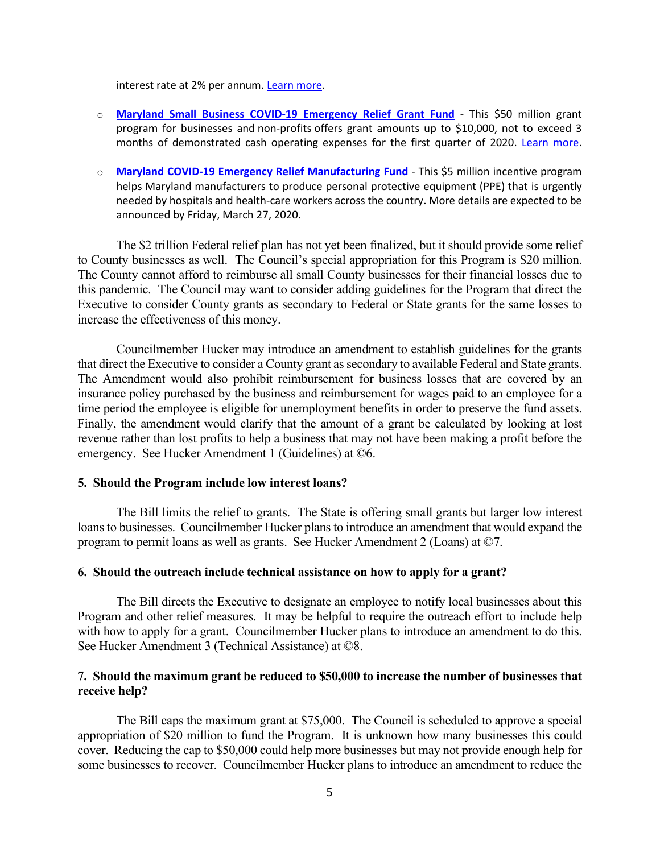interest rate at 2% per annum[. Learn more.](https://commerce.maryland.gov/fund/maryland-small-business-covid-19-emergency-relief-loan-fund)

- o **[Maryland Small Business COVID-19 Emergency Relief Grant Fund](https://commerce.maryland.gov/fund/maryland-small-business-covid-19-emergency-relief-grant-fund)** This \$50 million grant program for businesses and non-profits offers grant amounts up to \$10,000, not to exceed 3 months of demonstrated cash operating expenses for the first quarter of 2020. [Learn more.](https://commerce.maryland.gov/fund/maryland-small-business-covid-19-emergency-relief-grant-fund)
- o **[Maryland COVID-19 Emergency Relief Manufacturing Fund](https://commerce.maryland.gov/fund/maryland-covid-19-emergency-relief-manufacturing-fund)** This \$5 million incentive program helps Maryland manufacturers to produce personal protective equipment (PPE) that is urgently needed by hospitals and health-care workers across the country. More details are expected to be announced by Friday, March 27, 2020.

The \$2 trillion Federal relief plan has not yet been finalized, but it should provide some relief to County businesses as well. The Council's special appropriation for this Program is \$20 million. The County cannot afford to reimburse all small County businesses for their financial losses due to this pandemic. The Council may want to consider adding guidelines for the Program that direct the Executive to consider County grants as secondary to Federal or State grants for the same losses to increase the effectiveness of this money.

Councilmember Hucker may introduce an amendment to establish guidelines for the grants that direct the Executive to consider a County grant as secondary to available Federal and State grants. The Amendment would also prohibit reimbursement for business losses that are covered by an insurance policy purchased by the business and reimbursement for wages paid to an employee for a time period the employee is eligible for unemployment benefits in order to preserve the fund assets. Finally, the amendment would clarify that the amount of a grant be calculated by looking at lost revenue rather than lost profits to help a business that may not have been making a profit before the emergency. See Hucker Amendment 1 (Guidelines) at ©6.

#### **5. Should the Program include low interest loans?**

The Bill limits the relief to grants. The State is offering small grants but larger low interest loans to businesses. Councilmember Hucker plans to introduce an amendment that would expand the program to permit loans as well as grants. See Hucker Amendment 2 (Loans) at ©7.

#### **6. Should the outreach include technical assistance on how to apply for a grant?**

The Bill directs the Executive to designate an employee to notify local businesses about this Program and other relief measures. It may be helpful to require the outreach effort to include help with how to apply for a grant. Councilmember Hucker plans to introduce an amendment to do this. See Hucker Amendment 3 (Technical Assistance) at ©8.

#### **7. Should the maximum grant be reduced to \$50,000 to increase the number of businesses that receive help?**

The Bill caps the maximum grant at \$75,000. The Council is scheduled to approve a special appropriation of \$20 million to fund the Program. It is unknown how many businesses this could cover. Reducing the cap to \$50,000 could help more businesses but may not provide enough help for some businesses to recover. Councilmember Hucker plans to introduce an amendment to reduce the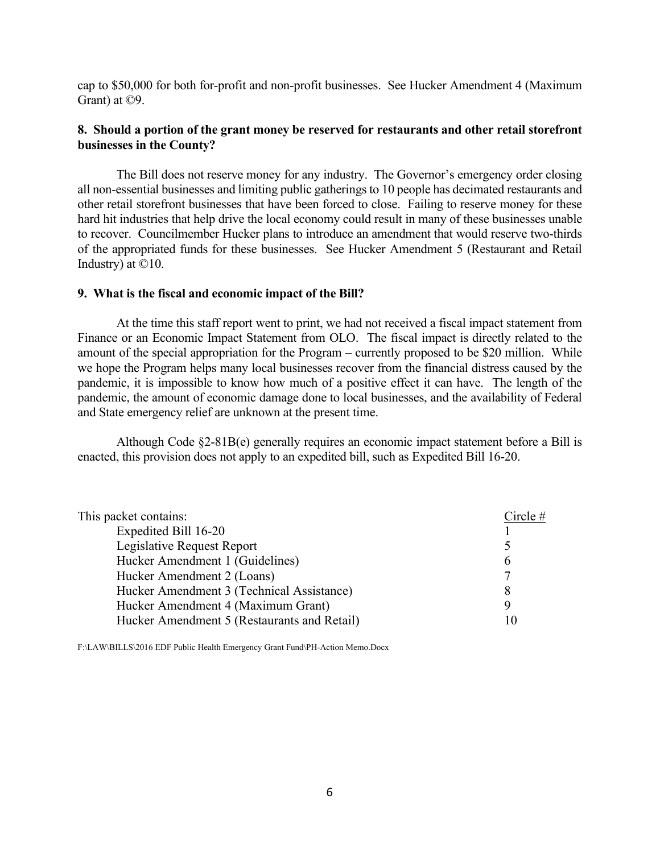cap to \$50,000 for both for-profit and non-profit businesses. See Hucker Amendment 4 (Maximum Grant) at ©9.

## **8. Should a portion of the grant money be reserved for restaurants and other retail storefront businesses in the County?**

The Bill does not reserve money for any industry. The Governor's emergency order closing all non-essential businesses and limiting public gatherings to 10 people has decimated restaurants and other retail storefront businesses that have been forced to close. Failing to reserve money for these hard hit industries that help drive the local economy could result in many of these businesses unable to recover. Councilmember Hucker plans to introduce an amendment that would reserve two-thirds of the appropriated funds for these businesses. See Hucker Amendment 5 (Restaurant and Retail Industry) at ©10.

#### **9. What is the fiscal and economic impact of the Bill?**

At the time this staff report went to print, we had not received a fiscal impact statement from Finance or an Economic Impact Statement from OLO. The fiscal impact is directly related to the amount of the special appropriation for the Program – currently proposed to be \$20 million. While we hope the Program helps many local businesses recover from the financial distress caused by the pandemic, it is impossible to know how much of a positive effect it can have. The length of the pandemic, the amount of economic damage done to local businesses, and the availability of Federal and State emergency relief are unknown at the present time.

Although Code §2-81B(e) generally requires an economic impact statement before a Bill is enacted, this provision does not apply to an expedited bill, such as Expedited Bill 16-20.

| This packet contains:                       | Circle# |
|---------------------------------------------|---------|
| Expedited Bill 16-20                        |         |
| Legislative Request Report                  |         |
| Hucker Amendment 1 (Guidelines)             | b       |
| Hucker Amendment 2 (Loans)                  | 7       |
| Hucker Amendment 3 (Technical Assistance)   | 8       |
| Hucker Amendment 4 (Maximum Grant)          | Q       |
| Hucker Amendment 5 (Restaurants and Retail) |         |

F:\LAW\BILLS\2016 EDF Public Health Emergency Grant Fund\PH-Action Memo.Docx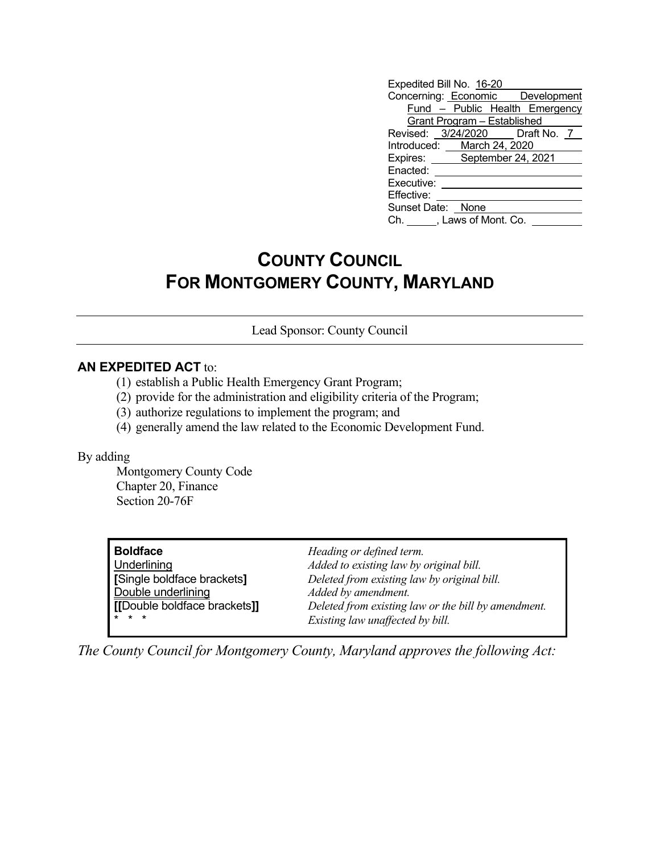| Expedited Bill No. 16-20           |                                |
|------------------------------------|--------------------------------|
| Concerning: Economic Development   |                                |
|                                    | Fund - Public Health Emergency |
| <b>Grant Program - Established</b> |                                |
| Revised: 3/24/2020 Draft No. 7     |                                |
| Introduced: March 24, 2020         |                                |
| Expires: September 24, 2021        |                                |
| Enacted:                           |                                |
| Executive:                         |                                |
| Effective:                         |                                |
| Sunset Date: None                  |                                |
| Ch. , Laws of Mont. Co.            |                                |

# **COUNTY COUNCIL FOR MONTGOMERY COUNTY, MARYLAND**

Lead Sponsor: County Council

## **AN EXPEDITED ACT** to:

- (1) establish a Public Health Emergency Grant Program;
- (2) provide for the administration and eligibility criteria of the Program;
- (3) authorize regulations to implement the program; and
- (4) generally amend the law related to the Economic Development Fund.

#### By adding

Montgomery County Code Chapter 20, Finance Section 20-76F

**Boldface** *Heading or defined term.*<br>
Underlining *Added to existing law by e* **Double underlining**<br> **IDouble boldface brackets**<br> **IDouble boldface brackets** 

Underlining *Added to existing law by original bill.* **[**Single boldface brackets**]** *Deleted from existing law by original bill.* **(b)**  $\mathbf{b}$  **[l boldface brackets]]** *Deleted from existing law or the bill by amendment.* Existing law unaffected by bill.

*The County Council for Montgomery County, Maryland approves the following Act:*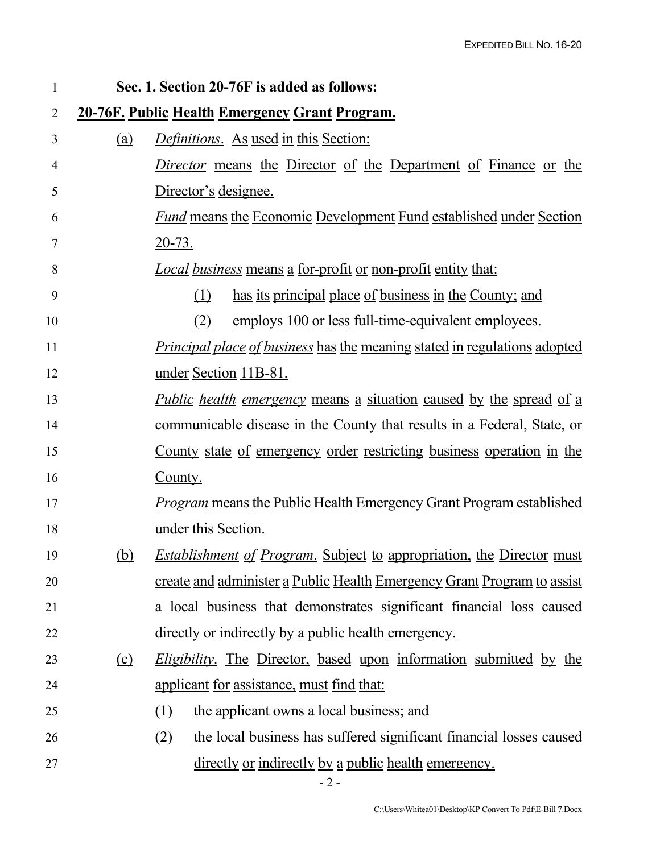| 1              |            | Sec. 1. Section 20-76F is added as follows:                                      |
|----------------|------------|----------------------------------------------------------------------------------|
| $\overline{2}$ |            | <u>20-76F. Public Health Emergency Grant Program.</u>                            |
| 3              | <u>(a)</u> | <i>Definitions.</i> As used in this Section:                                     |
| 4              |            | <i>Director</i> means the Director of the Department of Finance or the           |
| 5              |            | Director's designee.                                                             |
| 6              |            | <b>Fund means the Economic Development Fund established under Section</b>        |
| 7              |            | <u>20-73.</u>                                                                    |
| 8              |            | <u>Local business means a for-profit or non-profit entity that:</u>              |
| 9              |            | has its principal place of business in the County; and<br>(1)                    |
| 10             |            | employs 100 or less full-time-equivalent employees.<br>(2)                       |
| 11             |            | <i>Principal place of business</i> has the meaning stated in regulations adopted |
| 12             |            | under Section 11B-81.                                                            |
| 13             |            | <i>Public health emergency</i> means a situation caused by the spread of a       |
| 14             |            | <u>communicable disease in the County that results in a Federal, State, or</u>   |
| 15             |            | County state of emergency order restricting business operation in the            |
| 16             |            | County.                                                                          |
| 17             |            | <b>Program means the Public Health Emergency Grant Program established</b>       |
| 18             |            | under this Section.                                                              |
| 19             | (b)        | <b>Establishment of Program.</b> Subject to appropriation, the Director must     |
| 20             |            | create and administer a Public Health Emergency Grant Program to assist          |
| 21             |            | <u>a local business that demonstrates significant financial loss caused</u>      |
| 22             |            | <u>directly or indirectly by a public health emergency.</u>                      |
| 23             | $\Omega$   | <i>Eligibility</i> . The Director, based upon information submitted by the       |
| 24             |            | <u>applicant for assistance, must find that:</u>                                 |
| 25             |            | (1)<br>the applicant owns a local business; and                                  |
| 26             |            | the local business has suffered significant financial losses caused<br>(2)       |
| 27             |            | directly or indirectly by a public health emergency.                             |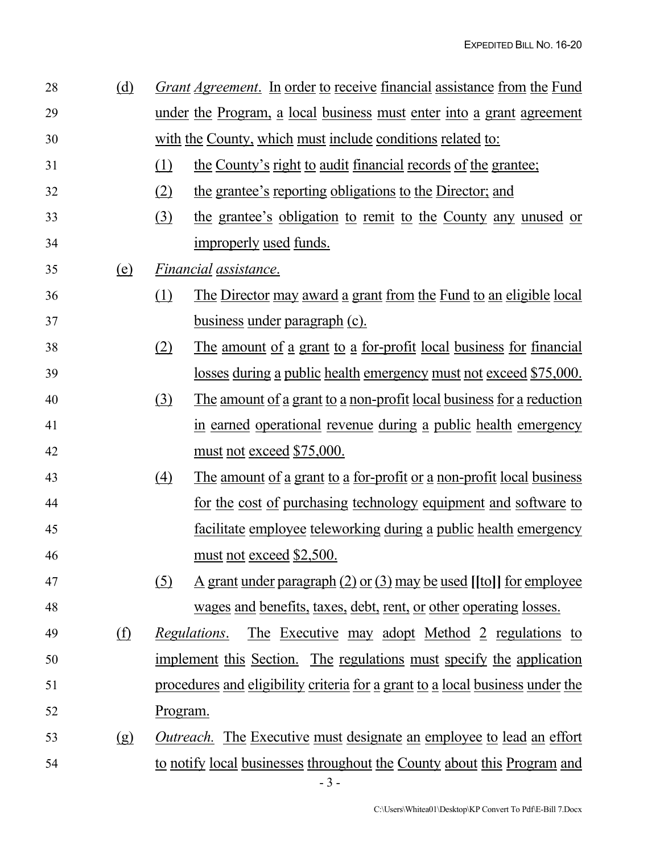| 28 | (d)                           |            | <i><u><b>Grant Agreement.</b></u></i> In order to receive financial assistance from the Fund |
|----|-------------------------------|------------|----------------------------------------------------------------------------------------------|
| 29 |                               |            | under the Program, a local business must enter into a grant agreement                        |
| 30 |                               |            | with the County, which must include conditions related to:                                   |
| 31 |                               | (1)        | <u>the County's right to audit financial records of the grantee;</u>                         |
| 32 |                               | (2)        | the grantee's reporting obligations to the Director; and                                     |
| 33 |                               | <u>(3)</u> | the grantee's obligation to remit to the County any unused or                                |
| 34 |                               |            | improperly used funds.                                                                       |
| 35 | <u>(e)</u>                    |            | Financial assistance.                                                                        |
| 36 |                               | (1)        | The Director may award a grant from the Fund to an eligible local                            |
| 37 |                               |            | business under paragraph (c).                                                                |
| 38 |                               | (2)        | <u>The amount of a grant to a for-profit local business for financial</u>                    |
| 39 |                               |            | losses during a public health emergency must not exceed \$75,000.                            |
| 40 |                               | (3)        | <u>The amount of a grant to a non-profit local business for a reduction</u>                  |
| 41 |                               |            | in earned operational revenue during a public health emergency                               |
| 42 |                               |            | must not exceed \$75,000.                                                                    |
| 43 |                               | (4)        | <u>The amount of a grant to a for-profit or a non-profit local business</u>                  |
| 44 |                               |            | for the cost of purchasing technology equipment and software to                              |
| 45 |                               |            | facilitate employee teleworking during a public health emergency                             |
| 46 |                               |            | must not exceed \$2,500.                                                                     |
| 47 |                               | (5)        | $\Delta$ grant under paragraph (2) or (3) may be used [[to]] for employee                    |
| 48 |                               |            | <u>wages and benefits, taxes, debt, rent, or other operating losses.</u>                     |
| 49 | $\underline{\textcircled{f}}$ |            | <u>The Executive may adopt Method 2 regulations to</u><br><i>Regulations.</i>                |
| 50 |                               |            | implement this Section. The regulations must specify the application                         |
| 51 |                               |            | procedures and eligibility criteria for a grant to a local business under the                |
| 52 |                               | Program.   |                                                                                              |
| 53 | (g)                           |            | <i><u>Outreach.</u></i> The Executive must designate an employee to lead an effort           |
| 54 |                               |            | to notify local businesses throughout the County about this Program and                      |
|    |                               |            |                                                                                              |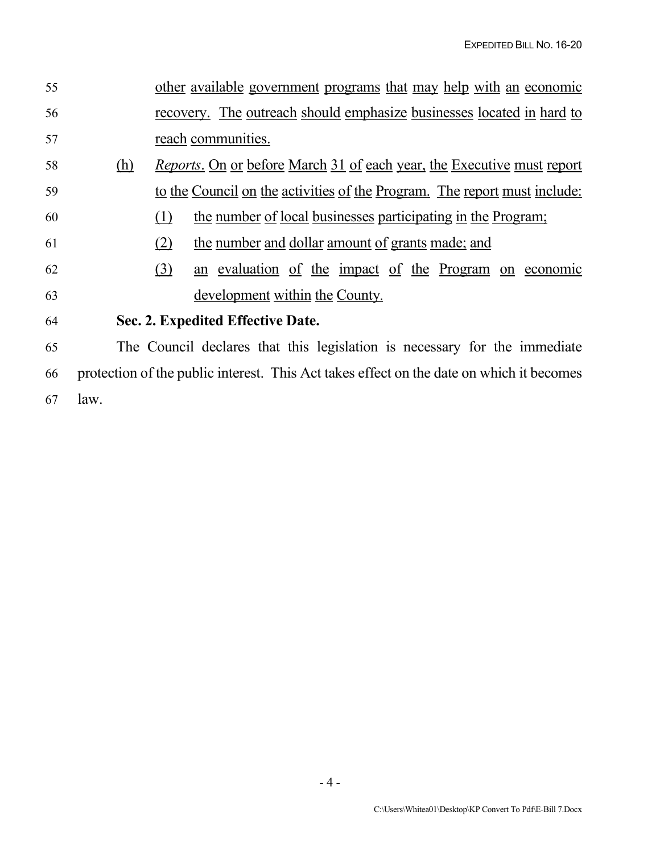| 55 |      | other available government programs that may help with an economic                       |
|----|------|------------------------------------------------------------------------------------------|
| 56 |      | recovery. The outreach should emphasize businesses located in hard to                    |
| 57 |      | reach communities.                                                                       |
| 58 | (h)  | <i>Reports.</i> On or before March 31 of each year, the Executive must report            |
| 59 |      | to the Council on the activities of the Program. The report must include:                |
| 60 |      | the number of local businesses participating in the Program;<br>(1)                      |
| 61 |      | the number and dollar amount of grants made; and<br>(2)                                  |
| 62 |      | an evaluation of the impact of the Program on economic<br>(3)                            |
| 63 |      | development within the County.                                                           |
| 64 |      | Sec. 2. Expedited Effective Date.                                                        |
| 65 |      | The Council declares that this legislation is necessary for the immediate                |
| 66 |      | protection of the public interest. This Act takes effect on the date on which it becomes |
| 67 | law. |                                                                                          |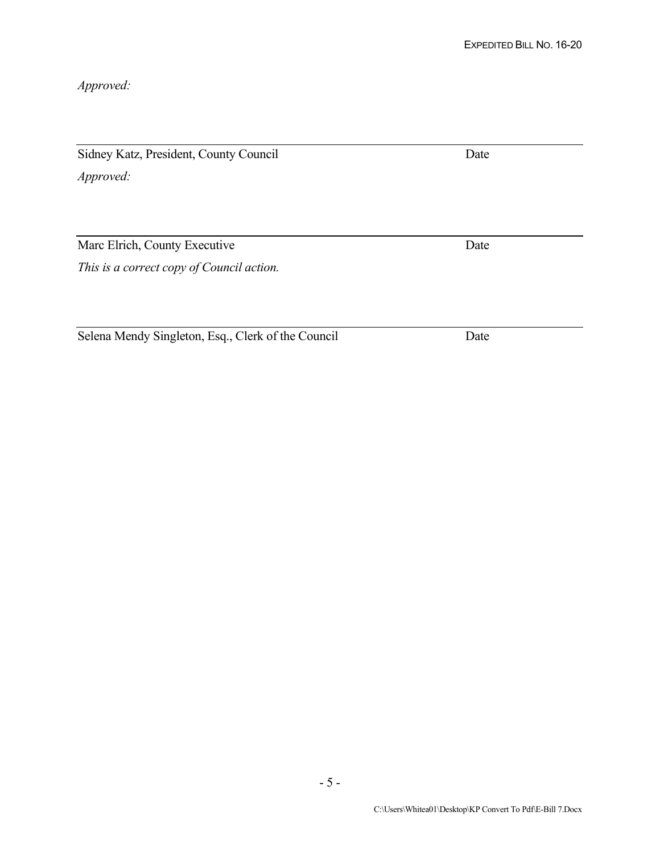*Approved:*

Sidney Katz, President, County Council Date *Approved:*

Marc Elrich, County Executive Date *This is a correct copy of Council action.*

Selena Mendy Singleton, Esq., Clerk of the Council Date

- 5 -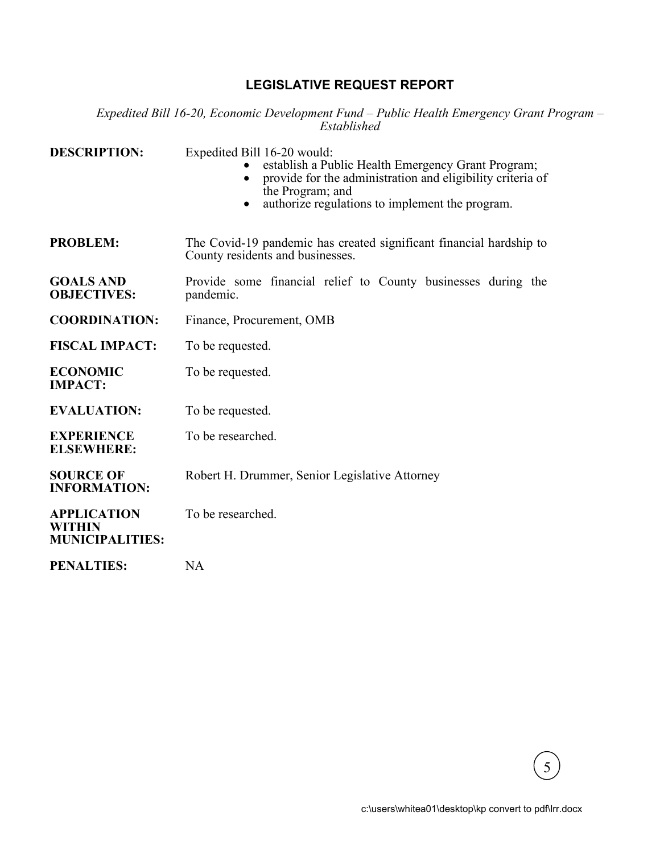# **LEGISLATIVE REQUEST REPORT**

*Expedited Bill 16-20, Economic Development Fund – Public Health Emergency Grant Program – Established*

| <b>DESCRIPTION:</b>                                    | Expedited Bill 16-20 would:<br>establish a Public Health Emergency Grant Program;<br>provide for the administration and eligibility criteria of<br>the Program; and<br>authorize regulations to implement the program. |
|--------------------------------------------------------|------------------------------------------------------------------------------------------------------------------------------------------------------------------------------------------------------------------------|
| <b>PROBLEM:</b>                                        | The Covid-19 pandemic has created significant financial hardship to<br>County residents and businesses.                                                                                                                |
| <b>GOALS AND</b><br><b>OBJECTIVES:</b>                 | Provide some financial relief to County businesses during the<br>pandemic.                                                                                                                                             |
| <b>COORDINATION:</b>                                   | Finance, Procurement, OMB                                                                                                                                                                                              |
| <b>FISCAL IMPACT:</b>                                  | To be requested.                                                                                                                                                                                                       |
| <b>ECONOMIC</b><br><b>IMPACT:</b>                      | To be requested.                                                                                                                                                                                                       |
| <b>EVALUATION:</b>                                     | To be requested.                                                                                                                                                                                                       |
| <b>EXPERIENCE</b><br><b>ELSEWHERE:</b>                 | To be researched.                                                                                                                                                                                                      |
| <b>SOURCE OF</b><br><b>INFORMATION:</b>                | Robert H. Drummer, Senior Legislative Attorney                                                                                                                                                                         |
| <b>APPLICATION</b><br>WITHIN<br><b>MUNICIPALITIES:</b> | To be researched.                                                                                                                                                                                                      |
| <b>PENALTIES:</b>                                      | <b>NA</b>                                                                                                                                                                                                              |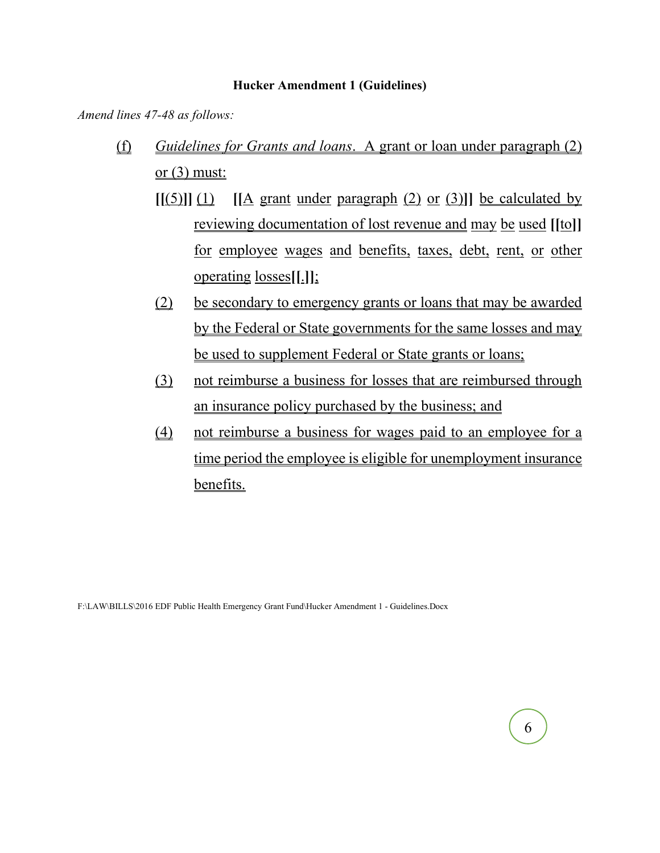## **Hucker Amendment 1 (Guidelines)**

*Amend lines 47-48 as follows:*

- (f) *Guidelines for Grants and loans*. A grant or loan under paragraph (2) or  $(3)$  must:
	- $\left[\frac{(5)}{(1)}\right]$   $\left[\frac{(A) \text{ grant under paragraph (2) or (3)]}}{b \text{ e calculated by}}\right]$ reviewing documentation of lost revenue and may be used **[[**to**]]** for employee wages and benefits, taxes, debt, rent, or other operating losses**[[**.**]]**;
	- (2) be secondary to emergency grants or loans that may be awarded by the Federal or State governments for the same losses and may be used to supplement Federal or State grants or loans;
	- (3) not reimburse a business for losses that are reimbursed through an insurance policy purchased by the business; and
	- (4) not reimburse a business for wages paid to an employee for a time period the employee is eligible for unemployment insurance benefits.

F:\LAW\BILLS\2016 EDF Public Health Emergency Grant Fund\Hucker Amendment 1 - Guidelines.Docx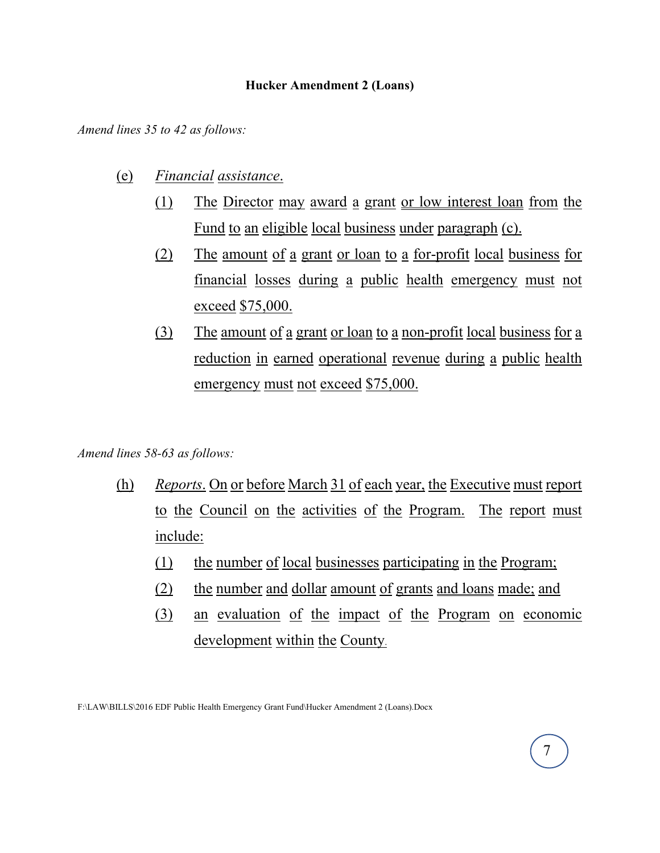## **Hucker Amendment 2 (Loans)**

*Amend lines 35 to 42 as follows:*

- (e) *Financial assistance*.
	- (1) The Director may award a grant or low interest loan from the Fund to an eligible local business under paragraph (c).
	- (2) The amount of a grant or loan to a for-profit local business for financial losses during a public health emergency must not exceed \$75,000.
	- (3) The amount of a grant or loan to a non-profit local business for a reduction in earned operational revenue during a public health emergency must not exceed \$75,000.

# *Amend lines 58-63 as follows:*

- (h) *Reports*. On or before March 31 of each year, the Executive must report to the Council on the activities of the Program. The report must include:
	- (1) the number of local businesses participating in the Program;
	- (2) the number and dollar amount of grants and loans made; and
	- (3) an evaluation of the impact of the Program on economic development within the County.

F:\LAW\BILLS\2016 EDF Public Health Emergency Grant Fund\Hucker Amendment 2 (Loans).Docx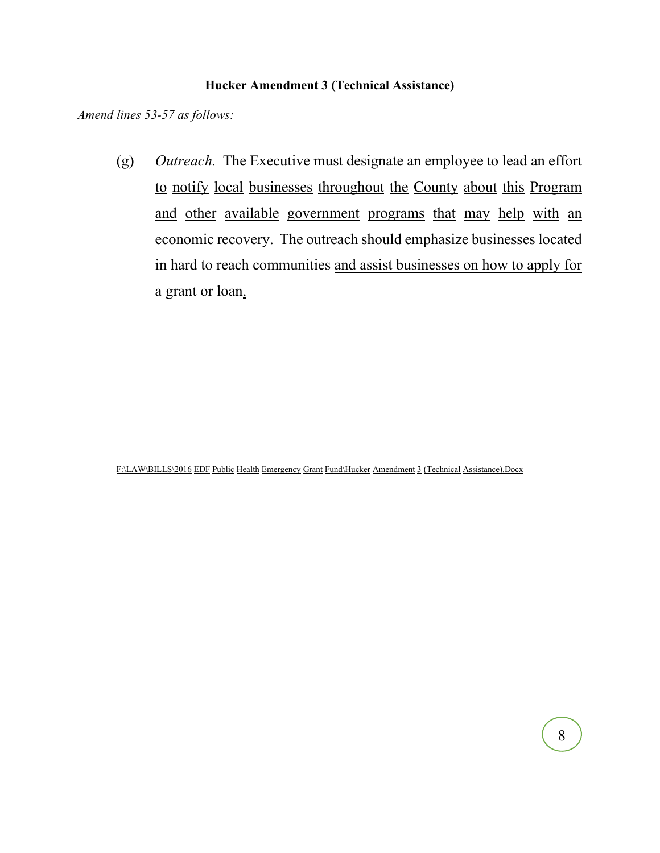## **Hucker Amendment 3 (Technical Assistance)**

*Amend lines 53-57 as follows:*

(g) *Outreach.* The Executive must designate an employee to lead an effort to notify local businesses throughout the County about this Program and other available government programs that may help with an economic recovery. The outreach should emphasize businesses located in hard to reach communities and assist businesses on how to apply for a grant or loan.

F:\LAW\BILLS\2016 EDF Public Health Emergency Grant Fund\Hucker Amendment 3 (Technical Assistance).Docx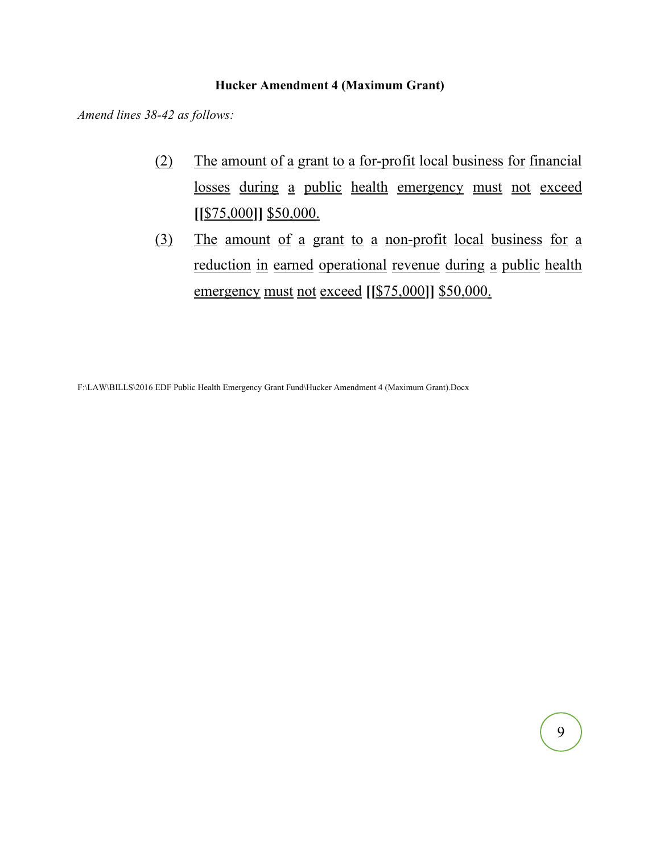# **Hucker Amendment 4 (Maximum Grant)**

*Amend lines 38-42 as follows:*

- (2) The amount of a grant to a for-profit local business for financial losses during a public health emergency must not exceed **[[**\$75,000**]]** \$50,000.
- (3) The amount of a grant to a non-profit local business for a reduction in earned operational revenue during a public health emergency must not exceed **[[**\$75,000**]]** \$50,000.

F:\LAW\BILLS\2016 EDF Public Health Emergency Grant Fund\Hucker Amendment 4 (Maximum Grant).Docx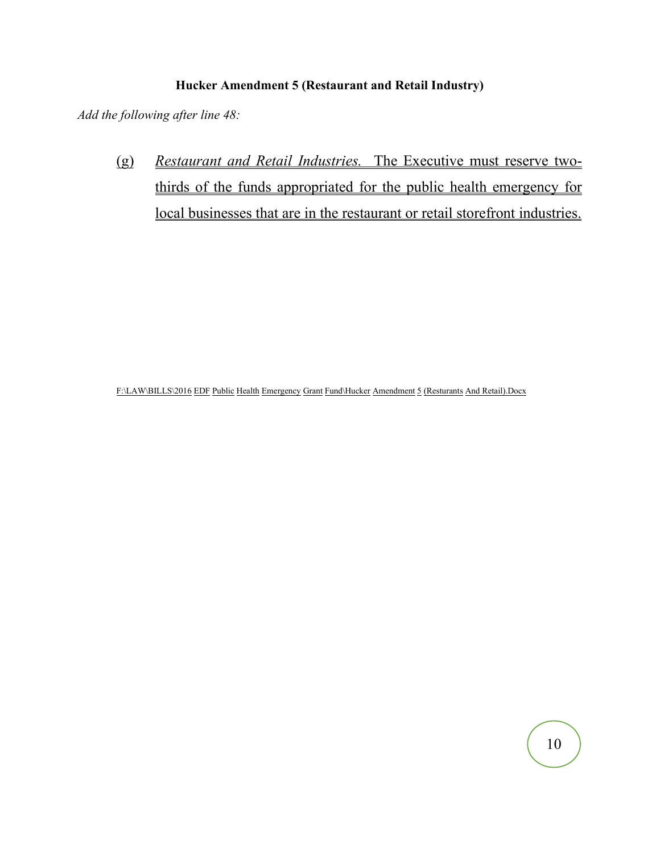# **Hucker Amendment 5 (Restaurant and Retail Industry)**

*Add the following after line 48:*

(g) *Restaurant and Retail Industries.* The Executive must reserve twothirds of the funds appropriated for the public health emergency for local businesses that are in the restaurant or retail storefront industries.

F:\LAW\BILLS\2016 EDF Public Health Emergency Grant Fund\Hucker Amendment 5 (Resturants And Retail).Docx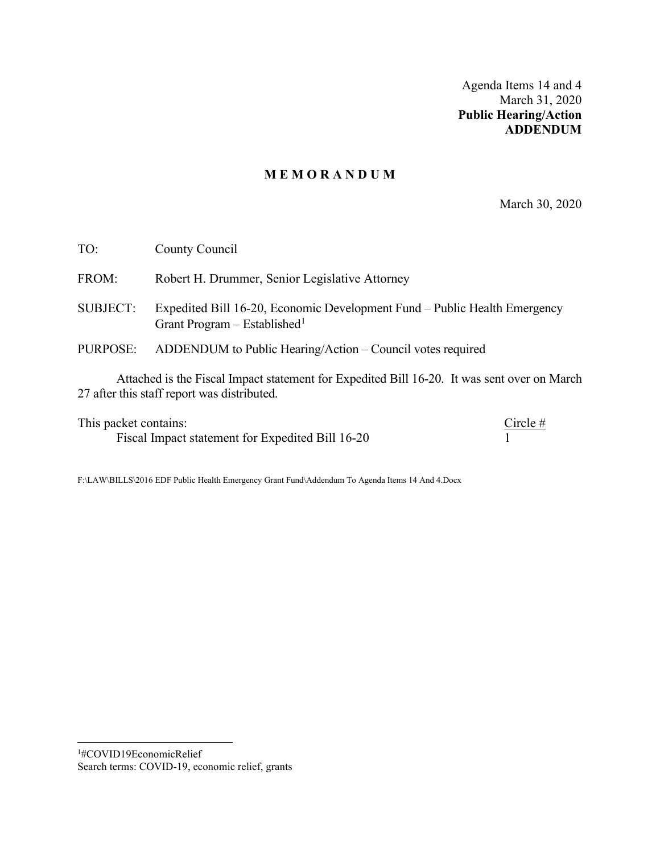Agenda Items 14 and 4 March 31, 2020 **Public Hearing/Action ADDENDUM**

## **M E M O R A N D U M**

March 30, 2020

| TO:             | County Council                                                                                                        |
|-----------------|-----------------------------------------------------------------------------------------------------------------------|
| FROM:           | Robert H. Drummer, Senior Legislative Attorney                                                                        |
| <b>SUBJECT:</b> | Expedited Bill 16-20, Economic Development Fund – Public Health Emergency<br>Grant Program – Established <sup>1</sup> |
| PURPOSE:        | ADDENDUM to Public Hearing/Action – Council votes required                                                            |
|                 | Attached is the Fiscal Impact statement for Expedited Bill 16-20. It was sent over on March                           |

Attached is the Fiscal Impact statement for Expedited Bill 16-20. It was sent over on March 27 after this staff report was distributed.

This packet contains:<br>Fiscal Impact statement for Expedited Bill 16-20  $\frac{\text{Circle }\#}{1}$ Fiscal Impact statement for Expedited Bill 16-20 1

F:\LAW\BILLS\2016 EDF Public Health Emergency Grant Fund\Addendum To Agenda Items 14 And 4.Docx

<span id="page-18-0"></span><sup>1</sup> #COVID19EconomicRelief Search terms: COVID-19, economic relief, grants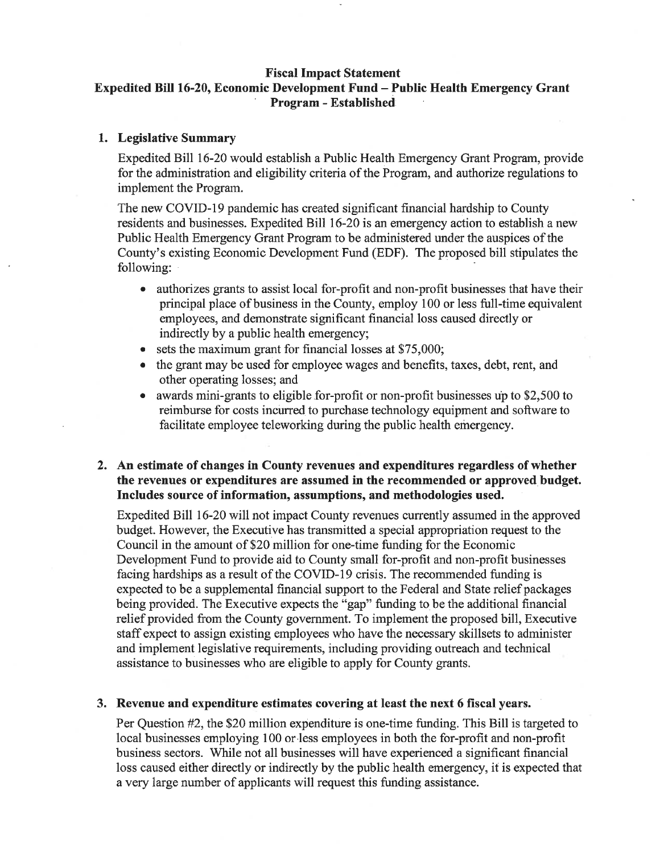#### **Fiscal Impact Statement**

# Expedited Bill 16-20, Economic Development Fund - Public Health Emergency Grant **Program - Established**

#### 1. Legislative Summary

Expedited Bill 16-20 would establish a Public Health Emergency Grant Program, provide for the administration and eligibility criteria of the Program, and authorize regulations to implement the Program.

The new COVID-19 pandemic has created significant financial hardship to County residents and businesses. Expedited Bill 16-20 is an emergency action to establish a new Public Health Emergency Grant Program to be administered under the auspices of the County's existing Economic Development Fund (EDF). The proposed bill stipulates the following:

- authorizes grants to assist local for-profit and non-profit businesses that have their principal place of business in the County, employ 100 or less full-time equivalent employees, and demonstrate significant financial loss caused directly or indirectly by a public health emergency;
- sets the maximum grant for financial losses at \$75,000;  $\bullet$
- the grant may be used for employee wages and benefits, taxes, debt, rent, and other operating losses; and
- awards mini-grants to eligible for-profit or non-profit businesses up to \$2,500 to reimburse for costs incurred to purchase technology equipment and software to facilitate employee teleworking during the public health emergency.

## 2. An estimate of changes in County revenues and expenditures regardless of whether the revenues or expenditures are assumed in the recommended or approved budget. Includes source of information, assumptions, and methodologies used.

Expedited Bill 16-20 will not impact County revenues currently assumed in the approved budget. However, the Executive has transmitted a special appropriation request to the Council in the amount of \$20 million for one-time funding for the Economic Development Fund to provide aid to County small for-profit and non-profit businesses facing hardships as a result of the COVID-19 crisis. The recommended funding is expected to be a supplemental financial support to the Federal and State relief packages being provided. The Executive expects the "gap" funding to be the additional financial relief provided from the County government. To implement the proposed bill, Executive staff expect to assign existing employees who have the necessary skillsets to administer and implement legislative requirements, including providing outreach and technical assistance to businesses who are eligible to apply for County grants.

#### 3. Revenue and expenditure estimates covering at least the next 6 fiscal years.

Per Question #2, the \$20 million expenditure is one-time funding. This Bill is targeted to local businesses employing 100 or less employees in both the for-profit and non-profit business sectors. While not all businesses will have experienced a significant financial loss caused either directly or indirectly by the public health emergency, it is expected that a very large number of applicants will request this funding assistance.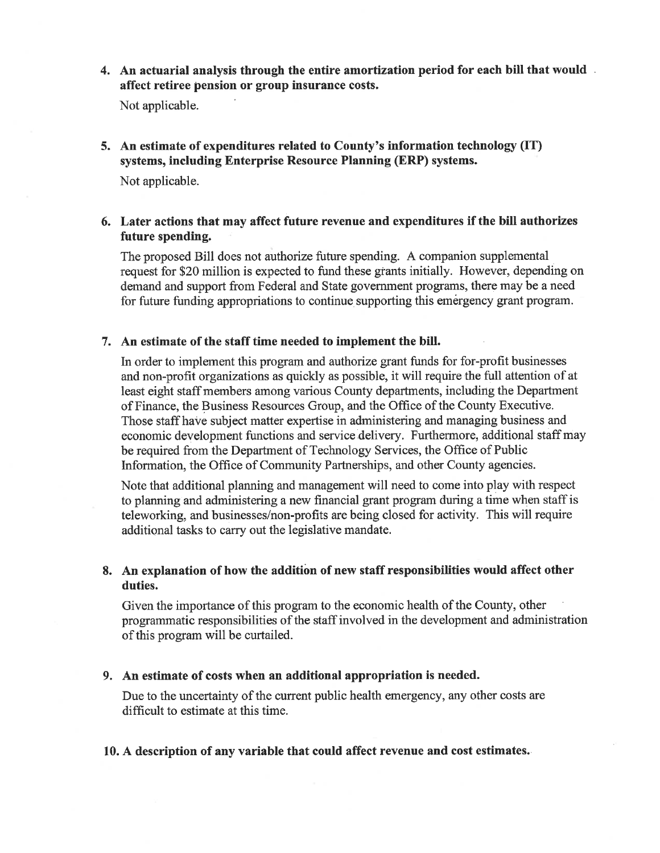4. An actuarial analysis through the entire amortization period for each bill that would. affect retiree pension or group insurance costs.

Not applicable.

5. An estimate of expenditures related to County's information technology (IT) systems, including Enterprise Resource Planning (ERP) systems.

Not applicable.

## 6. Later actions that may affect future revenue and expenditures if the bill authorizes future spending.

The proposed Bill does not authorize future spending. A companion supplemental request for \$20 million is expected to fund these grants initially. However, depending on demand and support from Federal and State government programs, there may be a need for future funding appropriations to continue supporting this emergency grant program.

#### 7. An estimate of the staff time needed to implement the bill.

In order to implement this program and authorize grant funds for for-profit businesses and non-profit organizations as quickly as possible, it will require the full attention of at least eight staff members among various County departments, including the Department of Finance, the Business Resources Group, and the Office of the County Executive. Those staff have subject matter expertise in administering and managing business and economic development functions and service delivery. Furthermore, additional staff may be required from the Department of Technology Services, the Office of Public Information, the Office of Community Partnerships, and other County agencies.

Note that additional planning and management will need to come into play with respect to planning and administering a new financial grant program during a time when staff is teleworking, and businesses/non-profits are being closed for activity. This will require additional tasks to carry out the legislative mandate.

## 8. An explanation of how the addition of new staff responsibilities would affect other duties.

Given the importance of this program to the economic health of the County, other programmatic responsibilities of the staff involved in the development and administration of this program will be curtailed.

#### 9. An estimate of costs when an additional appropriation is needed.

Due to the uncertainty of the current public health emergency, any other costs are difficult to estimate at this time.

#### 10. A description of any variable that could affect revenue and cost estimates.